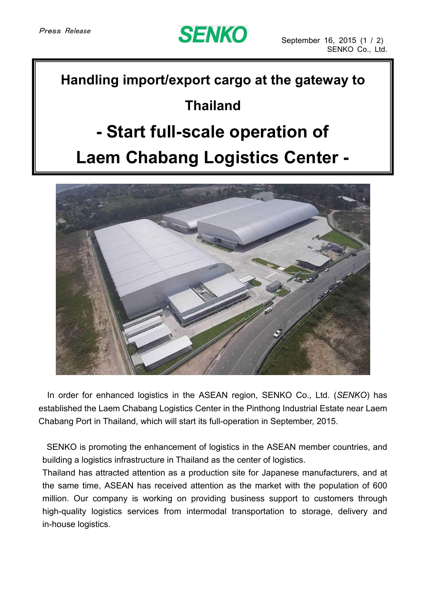

#### **Handling import/export cargo at the gateway to**

### **Thailand**

## **- Start full-scale operation of**

# **Laem Chabang Logistics Center -**



In order for enhanced logistics in the ASEAN region, SENKO Co., Ltd. (*SENKO*) has established the Laem Chabang Logistics Center in the Pinthong Industrial Estate near Laem Chabang Port in Thailand, which will start its full-operation in September, 2015.

SENKO is promoting the enhancement of logistics in the ASEAN member countries, and building a logistics infrastructure in Thailand as the center of logistics.

Thailand has attracted attention as a production site for Japanese manufacturers, and at the same time, ASEAN has received attention as the market with the population of 600 million. Our company is working on providing business support to customers through high-quality logistics services from intermodal transportation to storage, delivery and in-house logistics.